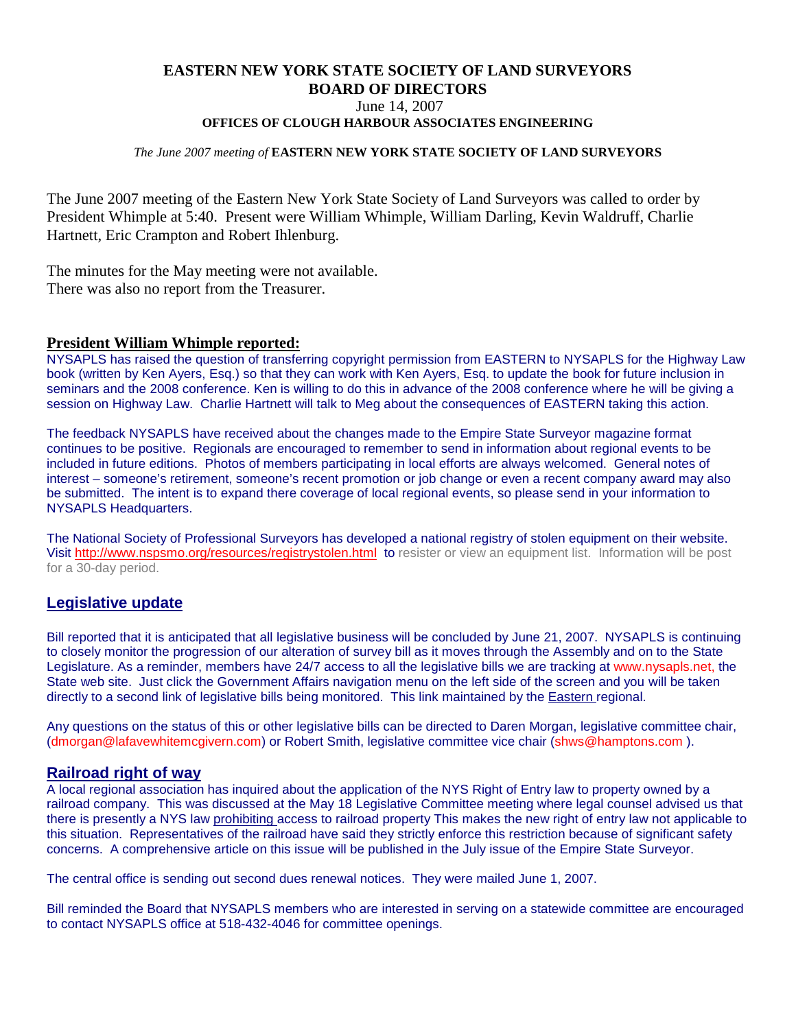# **EASTERN NEW YORK STATE SOCIETY OF LAND SURVEYORS BOARD OF DIRECTORS**

June 14, 2007

**OFFICES OF CLOUGH HARBOUR ASSOCIATES ENGINEERING**

#### *The June 2007 meeting of* **EASTERN NEW YORK STATE SOCIETY OF LAND SURVEYORS**

The June 2007 meeting of the Eastern New York State Society of Land Surveyors was called to order by President Whimple at 5:40. Present were William Whimple, William Darling, Kevin Waldruff, Charlie Hartnett, Eric Crampton and Robert Ihlenburg.

The minutes for the May meeting were not available. There was also no report from the Treasurer.

#### **President William Whimple reported:**

NYSAPLS has raised the question of transferring copyright permission from EASTERN to NYSAPLS for the Highway Law book (written by Ken Ayers, Esq.) so that they can work with Ken Ayers, Esq. to update the book for future inclusion in seminars and the 2008 conference. Ken is willing to do this in advance of the 2008 conference where he will be giving a session on Highway Law. Charlie Hartnett will talk to Meg about the consequences of EASTERN taking this action.

The feedback NYSAPLS have received about the changes made to the Empire State Surveyor magazine format continues to be positive. Regionals are encouraged to remember to send in information about regional events to be included in future editions. Photos of members participating in local efforts are always welcomed. General notes of interest – someone's retirement, someone's recent promotion or job change or even a recent company award may also be submitted. The intent is to expand there coverage of local regional events, so please send in your information to NYSAPLS Headquarters.

The [National Society of Professional Surveyors has develo](http://www.nspsmo.org/resources/registrystolen.html)ped a national registry of stolen equipment on their website. Visit http://www.nspsmo.org/resources/registrystolen.html to resister or view an equipment list. Information will be post for a 30-day period.

# **Legislative update**

Bill reported that it is anticipated that all legislative business will be concluded by June 21, 2007. NYSAPLS is continuing to closely monitor the progression of our alteration of survey bill as it moves through the Assembly and on to the State Legislature. As a reminder, members have 24/7 access to all the legislative bills we are tracking at www.nysapls.net, the State web site. Just click the Government Affairs navigation menu on the left side of the screen and you will be taken directly to a second link of legislative bills being monitored. This link maintained by the Eastern regional.

Any questions on the status of this or other legislative bills can be directed to Daren Morgan, legislative committee chair, (dmorgan@lafavewhitemcgivern.com) or Robert Smith, legislative committee vice chair (shws@hamptons.com ).

#### **Railroad right of way**

A local regional association has inquired about the application of the NYS Right of Entry law to property owned by a railroad company. This was discussed at the May 18 Legislative Committee meeting where legal counsel advised us that there is presently a NYS law prohibiting access to railroad property This makes the new right of entry law not applicable to this situation. Representatives of the railroad have said they strictly enforce this restriction because of significant safety concerns. A comprehensive article on this issue will be published in the July issue of the Empire State Surveyor.

The central office is sending out second dues renewal notices. They were mailed June 1, 2007.

Bill reminded the Board that NYSAPLS members who are interested in serving on a statewide committee are encouraged to contact NYSAPLS office at 518-432-4046 for committee openings.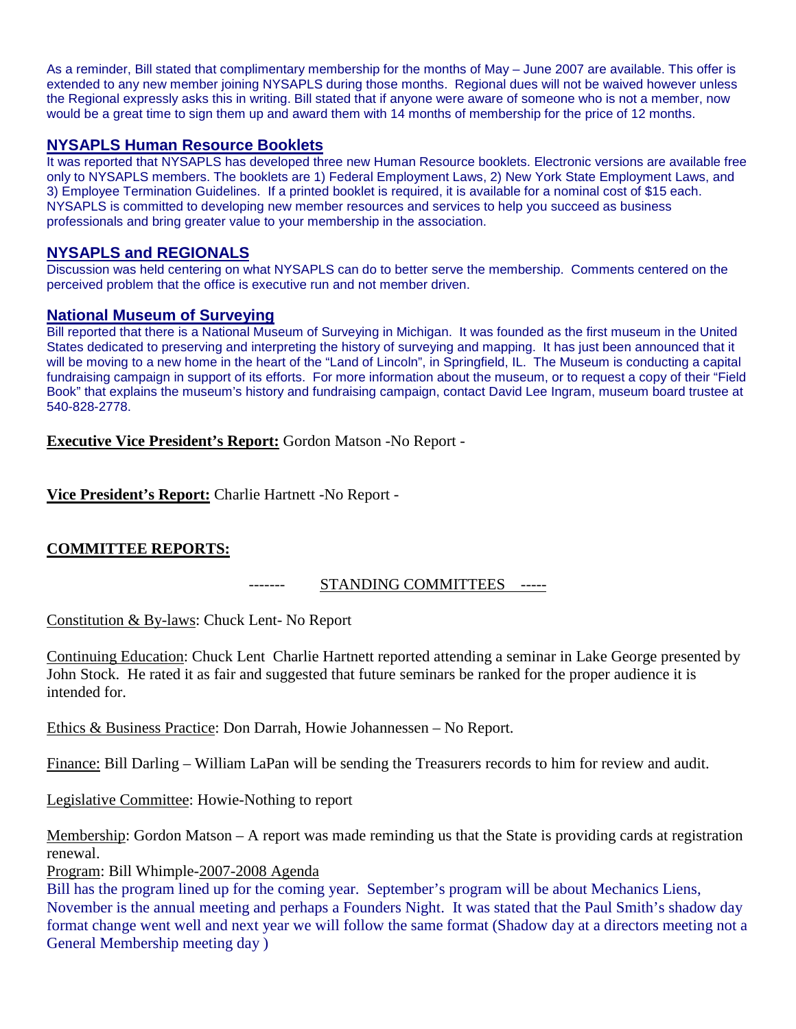As a reminder, Bill stated that complimentary membership for the months of May – June 2007 are available. This offer is extended to any new member joining NYSAPLS during those months. Regional dues will not be waived however unless the Regional expressly asks this in writing. Bill stated that if anyone were aware of someone who is not a member, now would be a great time to sign them up and award them with 14 months of membership for the price of 12 months.

# **NYSAPLS Human Resource Booklets**

It was reported that NYSAPLS has developed three new Human Resource booklets. Electronic versions are available free only to NYSAPLS members. The booklets are 1) Federal Employment Laws, 2) New York State Employment Laws, and 3) Employee Termination Guidelines. If a printed booklet is required, it is available for a nominal cost of \$15 each. NYSAPLS is committed to developing new member resources and services to help you succeed as business professionals and bring greater value to your membership in the association.

# **NYSAPLS and REGIONALS**

Discussion was held centering on what NYSAPLS can do to better serve the membership. Comments centered on the perceived problem that the office is executive run and not member driven.

# **National Museum of Surveying**

Bill reported that there is a National Museum of Surveying in Michigan. It was founded as the first museum in the United States dedicated to preserving and interpreting the history of surveying and mapping. It has just been announced that it will be moving to a new home in the heart of the "Land of Lincoln", in Springfield, IL. The Museum is conducting a capital fundraising campaign in support of its efforts. For more information about the museum, or to request a copy of their "Field Book" that explains the museum's history and fundraising campaign, contact David Lee Ingram, museum board trustee at 540-828-2778.

**Executive Vice President's Report:** Gordon Matson -No Report -

**Vice President's Report:** Charlie Hartnett -No Report -

# **COMMITTEE REPORTS:**

# ------- STANDING COMMITTEES -----

Constitution & By-laws: Chuck Lent- No Report

Continuing Education: Chuck Lent Charlie Hartnett reported attending a seminar in Lake George presented by John Stock. He rated it as fair and suggested that future seminars be ranked for the proper audience it is intended for.

Ethics & Business Practice: Don Darrah, Howie Johannessen – No Report.

Finance: Bill Darling – William LaPan will be sending the Treasurers records to him for review and audit.

Legislative Committee: Howie-Nothing to report

Membership: Gordon Matson – A report was made reminding us that the State is providing cards at registration renewal.

Program: Bill Whimple-2007-2008 Agenda

Bill has the program lined up for the coming year. September's program will be about Mechanics Liens, November is the annual meeting and perhaps a Founders Night. It was stated that the Paul Smith's shadow day format change went well and next year we will follow the same format (Shadow day at a directors meeting not a General Membership meeting day )